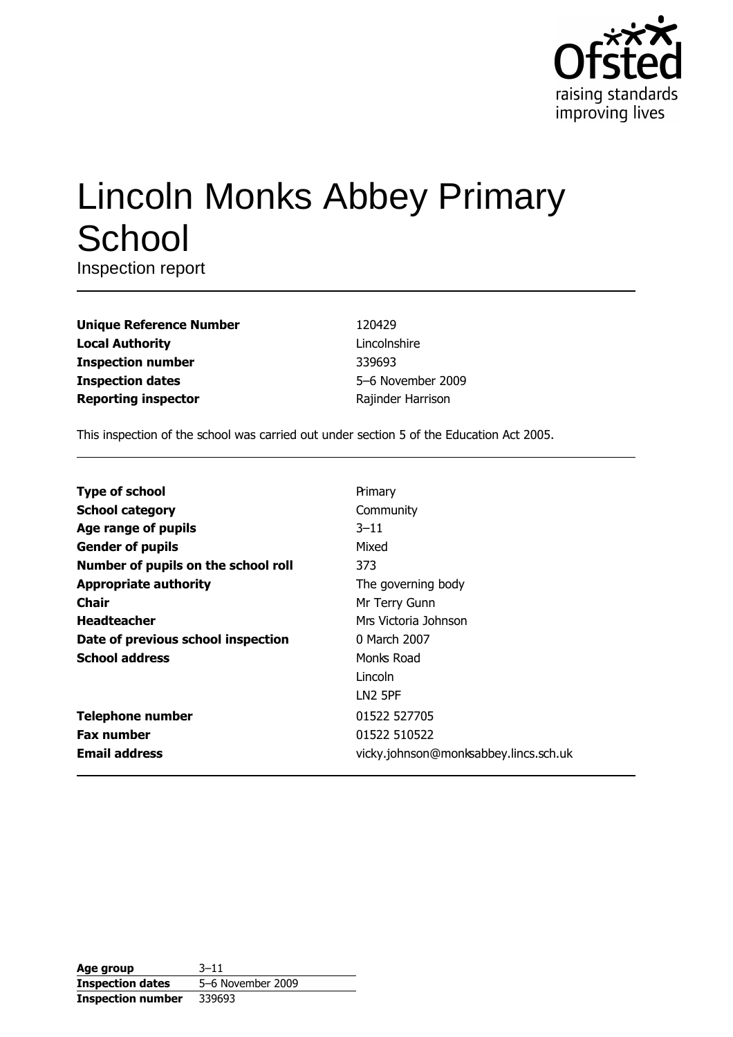

# **Lincoln Monks Abbey Primary** School

Inspection report

| <b>Unique Reference Number</b> |
|--------------------------------|
| <b>Local Authority</b>         |
| <b>Inspection number</b>       |
| <b>Inspection dates</b>        |
| <b>Reporting inspector</b>     |

120429 Lincolnshire 339693 5-6 November 2009 Rajinder Harrison

This inspection of the school was carried out under section 5 of the Education Act 2005.

| <b>Type of school</b>               | Primary                               |
|-------------------------------------|---------------------------------------|
| <b>School category</b>              | Community                             |
| Age range of pupils                 | $3 - 11$                              |
| <b>Gender of pupils</b>             | Mixed                                 |
| Number of pupils on the school roll | 373                                   |
| <b>Appropriate authority</b>        | The governing body                    |
| <b>Chair</b>                        | Mr Terry Gunn                         |
| <b>Headteacher</b>                  | Mrs Victoria Johnson                  |
| Date of previous school inspection  | 0 March 2007                          |
| <b>School address</b>               | Monks Road                            |
|                                     | Lincoln                               |
|                                     | LN2 5PF                               |
| <b>Telephone number</b>             | 01522 527705                          |
| <b>Fax number</b>                   | 01522 510522                          |
| <b>Email address</b>                | vicky.johnson@monksabbey.lincs.sch.uk |

| Age group                | $3 - 11$          |
|--------------------------|-------------------|
| <b>Inspection dates</b>  | 5-6 November 2009 |
| <b>Inspection number</b> | 339693            |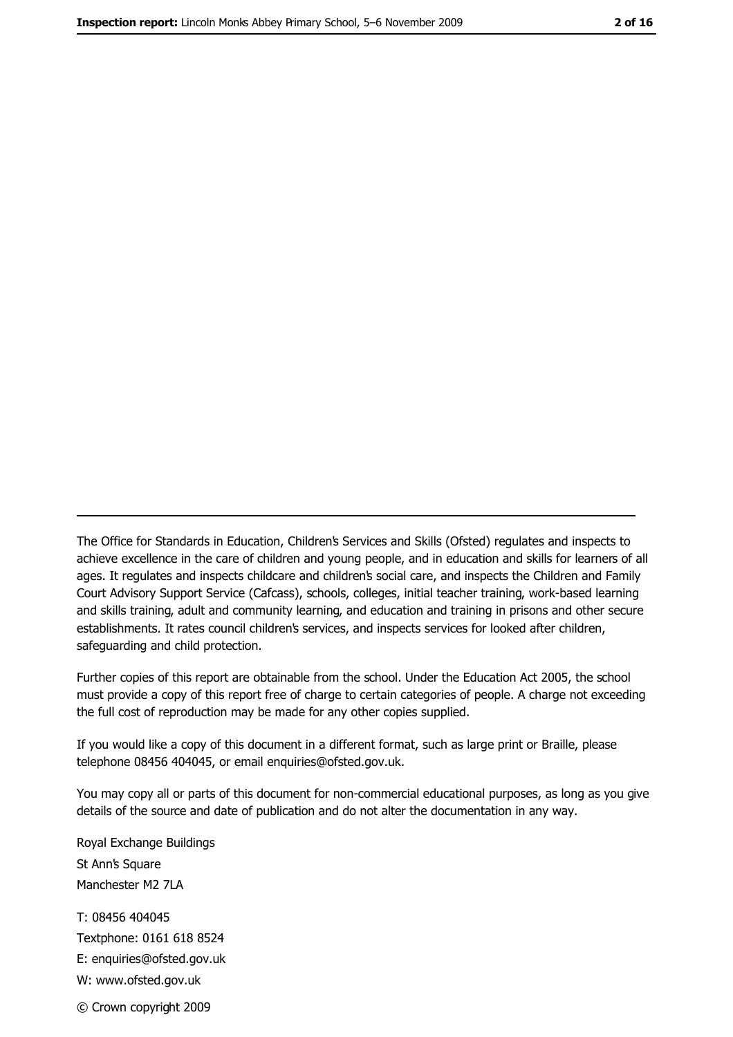The Office for Standards in Education, Children's Services and Skills (Ofsted) regulates and inspects to achieve excellence in the care of children and young people, and in education and skills for learners of all ages. It regulates and inspects childcare and children's social care, and inspects the Children and Family Court Advisory Support Service (Cafcass), schools, colleges, initial teacher training, work-based learning and skills training, adult and community learning, and education and training in prisons and other secure establishments. It rates council children's services, and inspects services for looked after children, safequarding and child protection.

Further copies of this report are obtainable from the school. Under the Education Act 2005, the school must provide a copy of this report free of charge to certain categories of people. A charge not exceeding the full cost of reproduction may be made for any other copies supplied.

If you would like a copy of this document in a different format, such as large print or Braille, please telephone 08456 404045, or email enquiries@ofsted.gov.uk.

You may copy all or parts of this document for non-commercial educational purposes, as long as you give details of the source and date of publication and do not alter the documentation in any way.

Royal Exchange Buildings St Ann's Square Manchester M2 7LA T: 08456 404045 Textphone: 0161 618 8524 E: enquiries@ofsted.gov.uk W: www.ofsted.gov.uk © Crown copyright 2009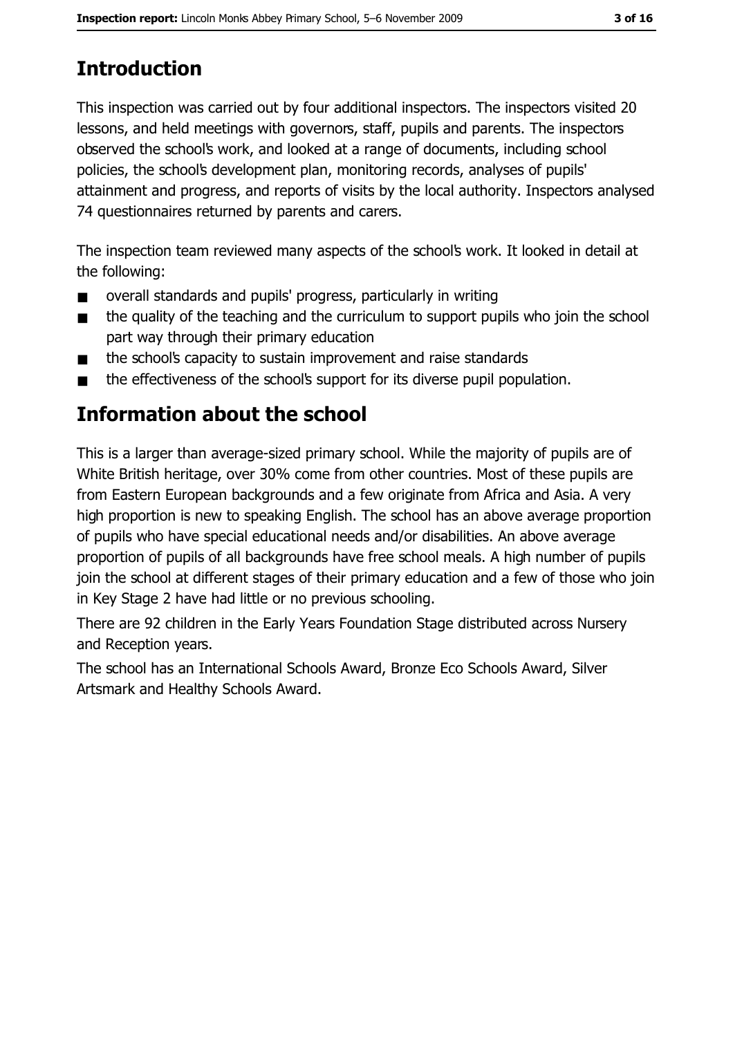# **Introduction**

This inspection was carried out by four additional inspectors. The inspectors visited 20 lessons, and held meetings with governors, staff, pupils and parents. The inspectors observed the school's work, and looked at a range of documents, including school policies, the school's development plan, monitoring records, analyses of pupils' attainment and progress, and reports of visits by the local authority. Inspectors analysed 74 questionnaires returned by parents and carers.

The inspection team reviewed many aspects of the school's work. It looked in detail at the following:

- overall standards and pupils' progress, particularly in writing  $\blacksquare$
- the quality of the teaching and the curriculum to support pupils who join the school  $\blacksquare$ part way through their primary education
- the school's capacity to sustain improvement and raise standards  $\blacksquare$
- the effectiveness of the school's support for its diverse pupil population.  $\blacksquare$

# **Information about the school**

This is a larger than average-sized primary school. While the majority of pupils are of White British heritage, over 30% come from other countries. Most of these pupils are from Eastern European backgrounds and a few originate from Africa and Asia. A very high proportion is new to speaking English. The school has an above average proportion of pupils who have special educational needs and/or disabilities. An above average proportion of pupils of all backgrounds have free school meals. A high number of pupils join the school at different stages of their primary education and a few of those who join in Key Stage 2 have had little or no previous schooling.

There are 92 children in the Early Years Foundation Stage distributed across Nursery and Reception years.

The school has an International Schools Award, Bronze Eco Schools Award, Silver Artsmark and Healthy Schools Award.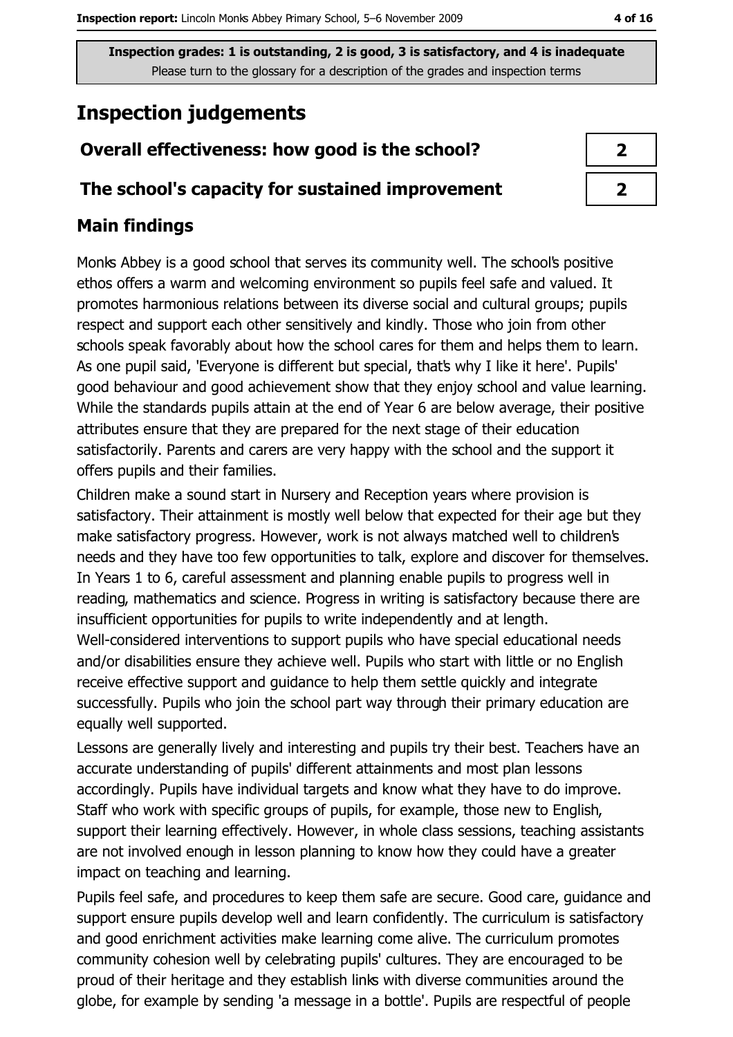## **Inspection judgements**

## Overall effectiveness: how good is the school?

## The school's capacity for sustained improvement

## **Main findings**

Monks Abbey is a good school that serves its community well. The school's positive ethos offers a warm and welcoming environment so pupils feel safe and valued. It promotes harmonious relations between its diverse social and cultural groups; pupils respect and support each other sensitively and kindly. Those who join from other schools speak favorably about how the school cares for them and helps them to learn. As one pupil said, 'Everyone is different but special, that's why I like it here'. Pupils' good behaviour and good achievement show that they enjoy school and value learning. While the standards pupils attain at the end of Year 6 are below average, their positive attributes ensure that they are prepared for the next stage of their education satisfactorily. Parents and carers are very happy with the school and the support it offers pupils and their families.

Children make a sound start in Nursery and Reception years where provision is satisfactory. Their attainment is mostly well below that expected for their age but they make satisfactory progress. However, work is not always matched well to children's needs and they have too few opportunities to talk, explore and discover for themselves. In Years 1 to 6, careful assessment and planning enable pupils to progress well in reading, mathematics and science. Progress in writing is satisfactory because there are insufficient opportunities for pupils to write independently and at length. Well-considered interventions to support pupils who have special educational needs and/or disabilities ensure they achieve well. Pupils who start with little or no English receive effective support and quidance to help them settle quickly and integrate successfully. Pupils who join the school part way through their primary education are equally well supported.

Lessons are generally lively and interesting and pupils try their best. Teachers have an accurate understanding of pupils' different attainments and most plan lessons accordingly. Pupils have individual targets and know what they have to do improve. Staff who work with specific groups of pupils, for example, those new to English, support their learning effectively. However, in whole class sessions, teaching assistants are not involved enough in lesson planning to know how they could have a greater impact on teaching and learning.

Pupils feel safe, and procedures to keep them safe are secure. Good care, quidance and support ensure pupils develop well and learn confidently. The curriculum is satisfactory and good enrichment activities make learning come alive. The curriculum promotes community cohesion well by celebrating pupils' cultures. They are encouraged to be proud of their heritage and they establish links with diverse communities around the globe, for example by sending 'a message in a bottle'. Pupils are respectful of people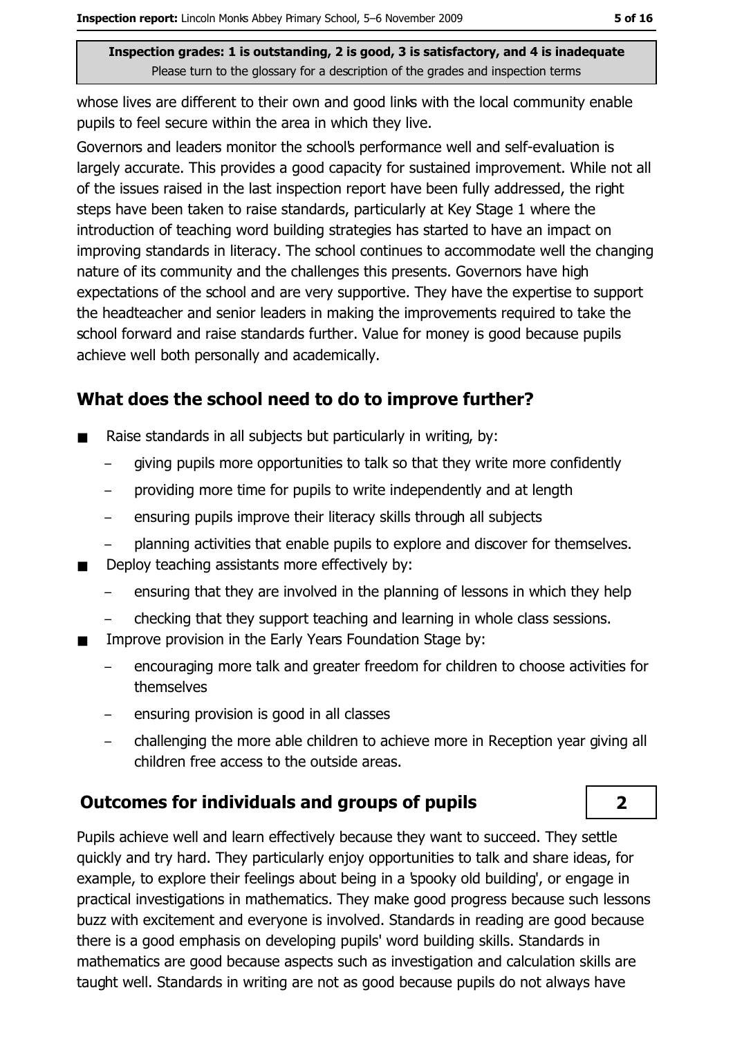whose lives are different to their own and good links with the local community enable pupils to feel secure within the area in which they live.

Governors and leaders monitor the school's performance well and self-evaluation is largely accurate. This provides a good capacity for sustained improvement. While not all of the issues raised in the last inspection report have been fully addressed, the right steps have been taken to raise standards, particularly at Key Stage 1 where the introduction of teaching word building strategies has started to have an impact on improving standards in literacy. The school continues to accommodate well the changing nature of its community and the challenges this presents. Governors have high expectations of the school and are very supportive. They have the expertise to support the headteacher and senior leaders in making the improvements required to take the school forward and raise standards further. Value for money is good because pupils achieve well both personally and academically.

## What does the school need to do to improve further?

- Raise standards in all subjects but particularly in writing, by:  $\blacksquare$ 
	- giving pupils more opportunities to talk so that they write more confidently
	- providing more time for pupils to write independently and at length  $\equiv$
	- ensuring pupils improve their literacy skills through all subjects  $\equiv$
	- planning activities that enable pupils to explore and discover for themselves.  $\equiv$
- Deploy teaching assistants more effectively by:
	- ensuring that they are involved in the planning of lessons in which they help
	- checking that they support teaching and learning in whole class sessions.
- Improve provision in the Early Years Foundation Stage by:
	- encouraging more talk and greater freedom for children to choose activities for  $\overline{a}$ themselves
	- ensuring provision is good in all classes
	- challenging the more able children to achieve more in Reception year giving all  $\overline{\phantom{m}}$ children free access to the outside areas.

## **Outcomes for individuals and groups of pupils**

Pupils achieve well and learn effectively because they want to succeed. They settle quickly and try hard. They particularly eniov opportunities to talk and share ideas, for example, to explore their feelings about being in a spooky old building', or engage in practical investigations in mathematics. They make good progress because such lessons buzz with excitement and everyone is involved. Standards in reading are good because there is a good emphasis on developing pupils' word building skills. Standards in mathematics are good because aspects such as investigation and calculation skills are taught well. Standards in writing are not as good because pupils do not always have

 $\overline{2}$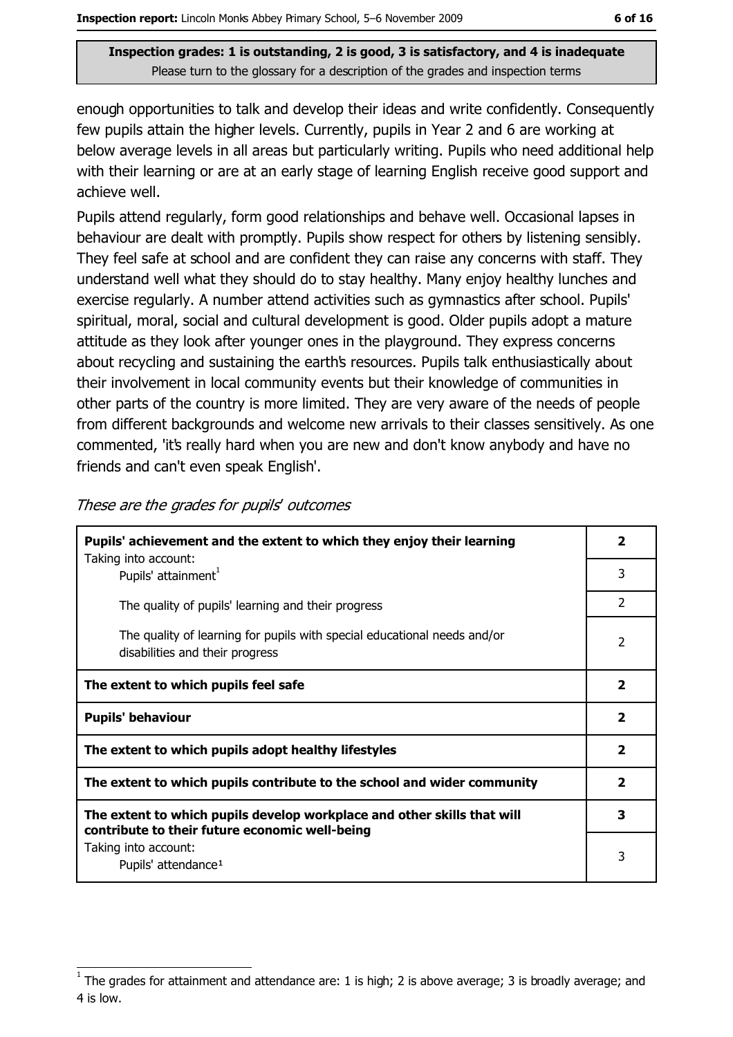enough opportunities to talk and develop their ideas and write confidently. Consequently few pupils attain the higher levels. Currently, pupils in Year 2 and 6 are working at below average levels in all areas but particularly writing. Pupils who need additional help with their learning or are at an early stage of learning English receive good support and achieve well.

Pupils attend regularly, form good relationships and behave well. Occasional lapses in behaviour are dealt with promptly. Pupils show respect for others by listening sensibly. They feel safe at school and are confident they can raise any concerns with staff. They understand well what they should do to stay healthy. Many enjoy healthy lunches and exercise regularly. A number attend activities such as gymnastics after school. Pupils' spiritual, moral, social and cultural development is good. Older pupils adopt a mature attitude as they look after younger ones in the playground. They express concerns about recycling and sustaining the earth's resources. Pupils talk enthusiastically about their involvement in local community events but their knowledge of communities in other parts of the country is more limited. They are very aware of the needs of people from different backgrounds and welcome new arrivals to their classes sensitively. As one commented, 'it's really hard when you are new and don't know anybody and have no friends and can't even speak English'.

| Pupils' achievement and the extent to which they enjoy their learning                                                     |                         |
|---------------------------------------------------------------------------------------------------------------------------|-------------------------|
| Taking into account:<br>Pupils' attainment <sup>1</sup>                                                                   | 3                       |
| The quality of pupils' learning and their progress                                                                        | $\mathcal{P}$           |
| The quality of learning for pupils with special educational needs and/or<br>disabilities and their progress               | 2                       |
| The extent to which pupils feel safe                                                                                      |                         |
| <b>Pupils' behaviour</b>                                                                                                  | $\overline{\mathbf{2}}$ |
|                                                                                                                           |                         |
| The extent to which pupils adopt healthy lifestyles                                                                       | $\overline{\mathbf{2}}$ |
| The extent to which pupils contribute to the school and wider community                                                   | $\overline{2}$          |
| The extent to which pupils develop workplace and other skills that will<br>contribute to their future economic well-being | 3                       |

These are the grades for pupils' outcomes

The grades for attainment and attendance are: 1 is high; 2 is above average; 3 is broadly average; and 4 is low.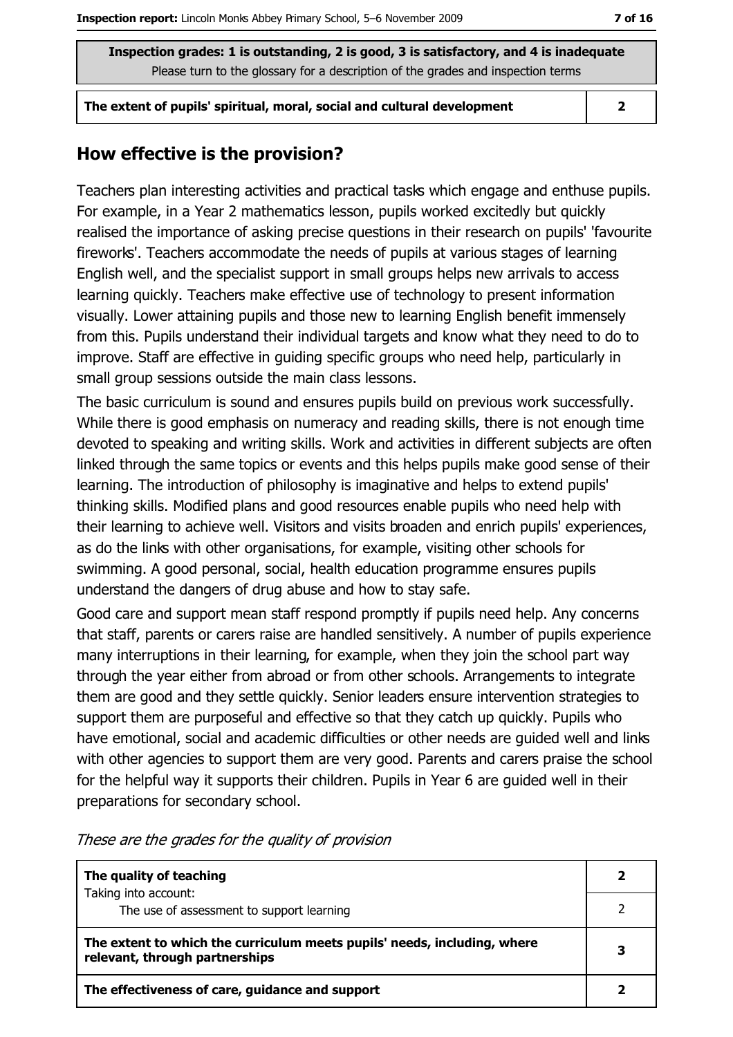The extent of pupils' spiritual, moral, social and cultural development

 $\overline{2}$ 

## How effective is the provision?

Teachers plan interesting activities and practical tasks which engage and enthuse pupils. For example, in a Year 2 mathematics lesson, pupils worked excitedly but quickly realised the importance of asking precise questions in their research on pupils' 'favourite fireworks'. Teachers accommodate the needs of pupils at various stages of learning English well, and the specialist support in small groups helps new arrivals to access learning quickly. Teachers make effective use of technology to present information visually. Lower attaining pupils and those new to learning English benefit immensely from this. Pupils understand their individual targets and know what they need to do to improve. Staff are effective in quiding specific groups who need help, particularly in small group sessions outside the main class lessons.

The basic curriculum is sound and ensures pupils build on previous work successfully. While there is good emphasis on numeracy and reading skills, there is not enough time devoted to speaking and writing skills. Work and activities in different subjects are often linked through the same topics or events and this helps pupils make good sense of their learning. The introduction of philosophy is imaginative and helps to extend pupils' thinking skills. Modified plans and good resources enable pupils who need help with their learning to achieve well. Visitors and visits broaden and enrich pupils' experiences, as do the links with other organisations, for example, visiting other schools for swimming. A good personal, social, health education programme ensures pupils understand the dangers of drug abuse and how to stay safe.

Good care and support mean staff respond promptly if pupils need help. Any concerns that staff, parents or carers raise are handled sensitively. A number of pupils experience many interruptions in their learning, for example, when they join the school part way through the year either from abroad or from other schools. Arrangements to integrate them are good and they settle quickly. Senior leaders ensure intervention strategies to support them are purposeful and effective so that they catch up quickly. Pupils who have emotional, social and academic difficulties or other needs are guided well and links with other agencies to support them are very good. Parents and carers praise the school for the helpful way it supports their children. Pupils in Year 6 are quided well in their preparations for secondary school.

| The quality of teaching                                                                                    | 2 |
|------------------------------------------------------------------------------------------------------------|---|
| Taking into account:                                                                                       |   |
| The use of assessment to support learning                                                                  |   |
| The extent to which the curriculum meets pupils' needs, including, where<br>relevant, through partnerships | 3 |
| The effectiveness of care, guidance and support                                                            |   |

These are the grades for the quality of provision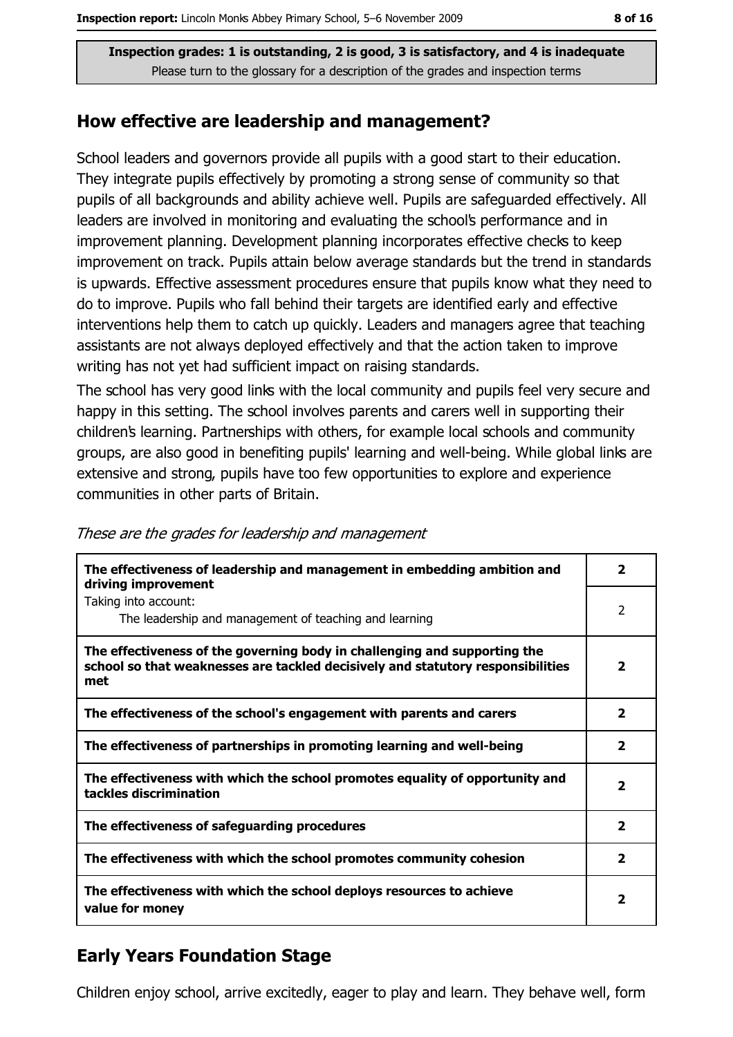#### How effective are leadership and management?

School leaders and governors provide all pupils with a good start to their education. They integrate pupils effectively by promoting a strong sense of community so that pupils of all backgrounds and ability achieve well. Pupils are safeguarded effectively. All leaders are involved in monitoring and evaluating the school's performance and in improvement planning. Development planning incorporates effective checks to keep improvement on track. Pupils attain below average standards but the trend in standards is upwards. Effective assessment procedures ensure that pupils know what they need to do to improve. Pupils who fall behind their targets are identified early and effective interventions help them to catch up quickly. Leaders and managers agree that teaching assistants are not always deployed effectively and that the action taken to improve writing has not yet had sufficient impact on raising standards.

The school has very good links with the local community and pupils feel very secure and happy in this setting. The school involves parents and carers well in supporting their children's learning. Partnerships with others, for example local schools and community groups, are also good in benefiting pupils' learning and well-being. While global links are extensive and strong, pupils have too few opportunities to explore and experience communities in other parts of Britain.

| The effectiveness of leadership and management in embedding ambition and<br>driving improvement                                                                     | $\overline{\phantom{a}}$ |
|---------------------------------------------------------------------------------------------------------------------------------------------------------------------|--------------------------|
| Taking into account:<br>The leadership and management of teaching and learning                                                                                      | 2                        |
| The effectiveness of the governing body in challenging and supporting the<br>school so that weaknesses are tackled decisively and statutory responsibilities<br>met | $\overline{\mathbf{2}}$  |
| The effectiveness of the school's engagement with parents and carers                                                                                                | $\overline{2}$           |
| The effectiveness of partnerships in promoting learning and well-being                                                                                              | $\mathbf{2}$             |
| The effectiveness with which the school promotes equality of opportunity and<br>tackles discrimination                                                              | 2                        |
| The effectiveness of safeguarding procedures                                                                                                                        | $\mathbf{2}$             |
| The effectiveness with which the school promotes community cohesion                                                                                                 | 2                        |
| The effectiveness with which the school deploys resources to achieve<br>value for money                                                                             | 2                        |

These are the grades for leadership and management

## **Early Years Foundation Stage**

Children enjoy school, arrive excitedly, eager to play and learn. They behave well, form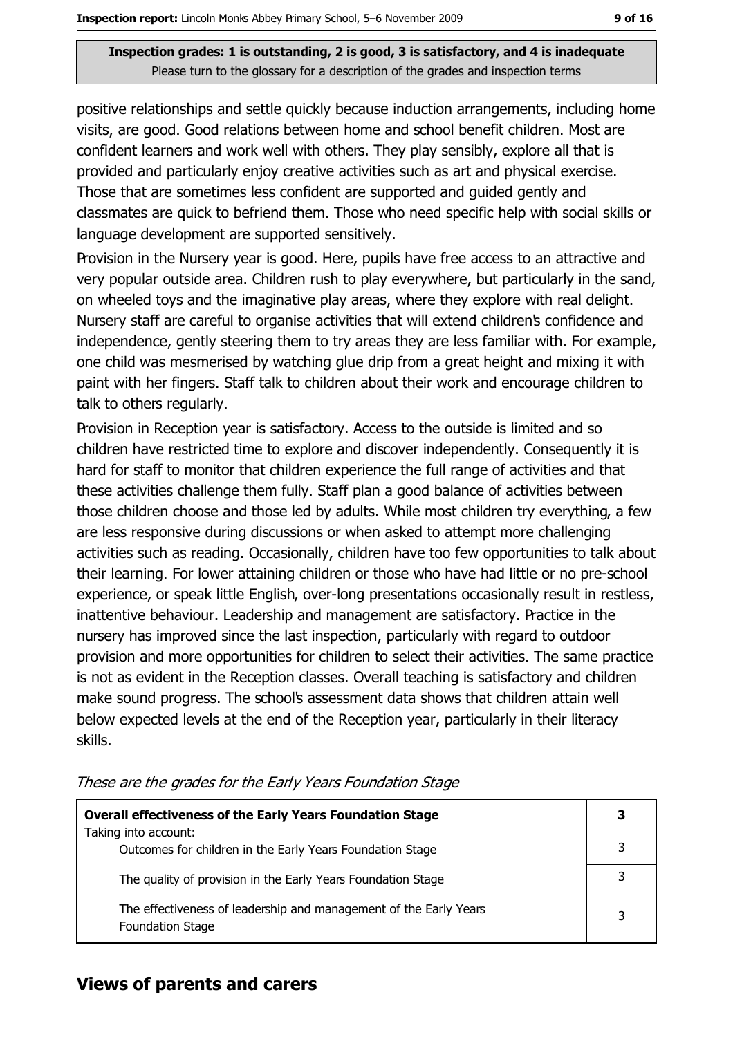positive relationships and settle quickly because induction arrangements, including home visits, are good. Good relations between home and school benefit children. Most are confident learners and work well with others. They play sensibly, explore all that is provided and particularly enjoy creative activities such as art and physical exercise. Those that are sometimes less confident are supported and guided gently and classmates are quick to befriend them. Those who need specific help with social skills or language development are supported sensitively.

Provision in the Nursery year is good. Here, pupils have free access to an attractive and very popular outside area. Children rush to play everywhere, but particularly in the sand, on wheeled toys and the imaginative play areas, where they explore with real delight. Nursery staff are careful to organise activities that will extend children's confidence and independence, gently steering them to try areas they are less familiar with. For example, one child was mesmerised by watching glue drip from a great height and mixing it with paint with her fingers. Staff talk to children about their work and encourage children to talk to others regularly.

Provision in Reception year is satisfactory. Access to the outside is limited and so children have restricted time to explore and discover independently. Consequently it is hard for staff to monitor that children experience the full range of activities and that these activities challenge them fully. Staff plan a good balance of activities between those children choose and those led by adults. While most children try everything, a few are less responsive during discussions or when asked to attempt more challenging activities such as reading. Occasionally, children have too few opportunities to talk about their learning. For lower attaining children or those who have had little or no pre-school experience, or speak little English, over-long presentations occasionally result in restless, inattentive behaviour. Leadership and management are satisfactory. Practice in the nursery has improved since the last inspection, particularly with regard to outdoor provision and more opportunities for children to select their activities. The same practice is not as evident in the Reception classes. Overall teaching is satisfactory and children make sound progress. The school's assessment data shows that children attain well below expected levels at the end of the Reception year, particularly in their literacy skills.

| <b>Overall effectiveness of the Early Years Foundation Stage</b>                             |  |
|----------------------------------------------------------------------------------------------|--|
| Taking into account:<br>Outcomes for children in the Early Years Foundation Stage            |  |
| The quality of provision in the Early Years Foundation Stage                                 |  |
| The effectiveness of leadership and management of the Early Years<br><b>Foundation Stage</b> |  |

These are the grades for the Early Years Foundation Stage

#### **Views of parents and carers**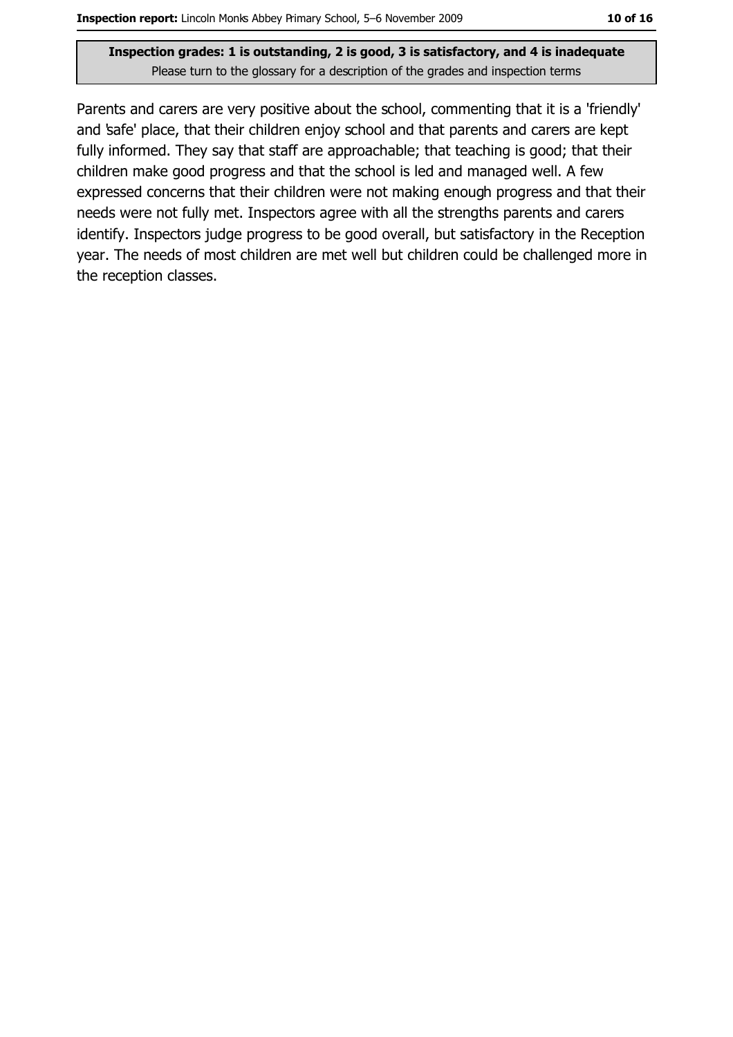Parents and carers are very positive about the school, commenting that it is a 'friendly' and 'safe' place, that their children enjoy school and that parents and carers are kept fully informed. They say that staff are approachable; that teaching is good; that their children make good progress and that the school is led and managed well. A few expressed concerns that their children were not making enough progress and that their needs were not fully met. Inspectors agree with all the strengths parents and carers identify. Inspectors judge progress to be good overall, but satisfactory in the Reception year. The needs of most children are met well but children could be challenged more in the reception classes.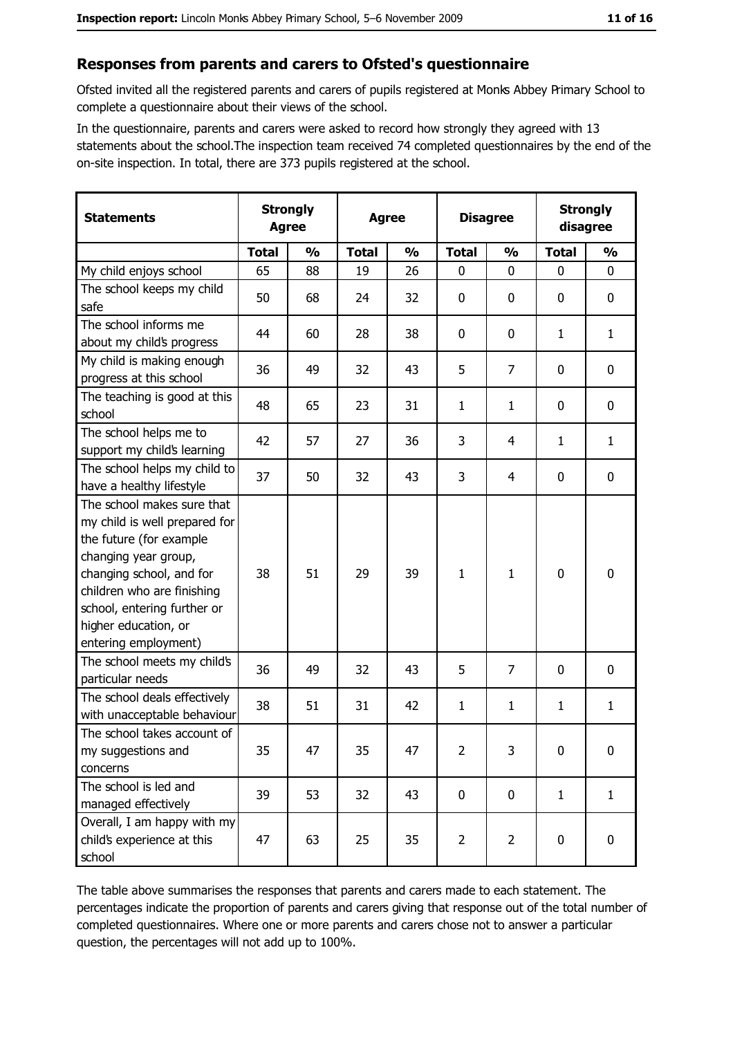#### Responses from parents and carers to Ofsted's questionnaire

Ofsted invited all the registered parents and carers of pupils registered at Monks Abbey Primary School to complete a questionnaire about their views of the school.

In the questionnaire, parents and carers were asked to record how strongly they agreed with 13 statements about the school. The inspection team received 74 completed questionnaires by the end of the on-site inspection. In total, there are 373 pupils registered at the school.

| <b>Statements</b>                                                                                                                                                                                                                                       | <b>Strongly</b><br><b>Agree</b> |               | <b>Agree</b> |               | <b>Disagree</b> |                | <b>Strongly</b><br>disagree |               |
|---------------------------------------------------------------------------------------------------------------------------------------------------------------------------------------------------------------------------------------------------------|---------------------------------|---------------|--------------|---------------|-----------------|----------------|-----------------------------|---------------|
|                                                                                                                                                                                                                                                         | <b>Total</b>                    | $\frac{0}{0}$ | <b>Total</b> | $\frac{0}{0}$ | <b>Total</b>    | $\frac{0}{0}$  | <b>Total</b>                | $\frac{0}{0}$ |
| My child enjoys school                                                                                                                                                                                                                                  | 65                              | 88            | 19           | 26            | $\mathbf 0$     | 0              | $\mathbf{0}$                | 0             |
| The school keeps my child<br>safe                                                                                                                                                                                                                       | 50                              | 68            | 24           | 32            | 0               | 0              | $\mathbf{0}$                | 0             |
| The school informs me<br>about my child's progress                                                                                                                                                                                                      | 44                              | 60            | 28           | 38            | 0               | 0              | $\mathbf{1}$                | $\mathbf{1}$  |
| My child is making enough<br>progress at this school                                                                                                                                                                                                    | 36                              | 49            | 32           | 43            | 5               | $\overline{7}$ | $\mathbf 0$                 | 0             |
| The teaching is good at this<br>school                                                                                                                                                                                                                  | 48                              | 65            | 23           | 31            | $\mathbf{1}$    | $\mathbf{1}$   | 0                           | 0             |
| The school helps me to<br>support my child's learning                                                                                                                                                                                                   | 42                              | 57            | 27           | 36            | 3               | 4              | 1                           | $\mathbf{1}$  |
| The school helps my child to<br>have a healthy lifestyle                                                                                                                                                                                                | 37                              | 50            | 32           | 43            | 3               | 4              | 0                           | 0             |
| The school makes sure that<br>my child is well prepared for<br>the future (for example<br>changing year group,<br>changing school, and for<br>children who are finishing<br>school, entering further or<br>higher education, or<br>entering employment) | 38                              | 51            | 29           | 39            | $\mathbf{1}$    | $\mathbf{1}$   | 0                           | 0             |
| The school meets my child's<br>particular needs                                                                                                                                                                                                         | 36                              | 49            | 32           | 43            | 5               | 7              | 0                           | 0             |
| The school deals effectively<br>with unacceptable behaviour                                                                                                                                                                                             | 38                              | 51            | 31           | 42            | $\mathbf{1}$    | $\mathbf{1}$   | $\mathbf{1}$                | $\mathbf{1}$  |
| The school takes account of<br>my suggestions and<br>concerns                                                                                                                                                                                           | 35                              | 47            | 35           | 47            | $\overline{2}$  | 3              | 0                           | 0             |
| The school is led and<br>managed effectively                                                                                                                                                                                                            | 39                              | 53            | 32           | 43            | $\mathbf 0$     | 0              | $\mathbf{1}$                | $\mathbf{1}$  |
| Overall, I am happy with my<br>child's experience at this<br>school                                                                                                                                                                                     | 47                              | 63            | 25           | 35            | $\overline{2}$  | $\overline{2}$ | $\mathbf 0$                 | 0             |

The table above summarises the responses that parents and carers made to each statement. The percentages indicate the proportion of parents and carers giving that response out of the total number of completed questionnaires. Where one or more parents and carers chose not to answer a particular question, the percentages will not add up to 100%.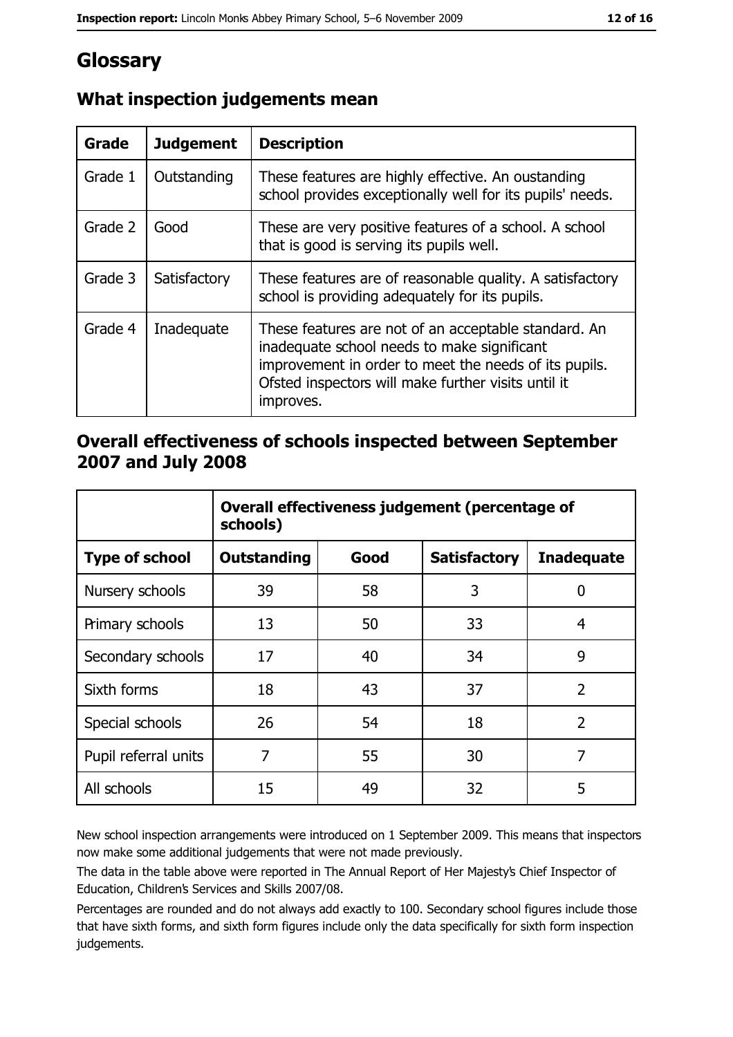# Glossary

| <b>Grade</b> | <b>Judgement</b> | <b>Description</b>                                                                                                                                                                                                               |  |
|--------------|------------------|----------------------------------------------------------------------------------------------------------------------------------------------------------------------------------------------------------------------------------|--|
| Grade 1      | Outstanding      | These features are highly effective. An oustanding<br>school provides exceptionally well for its pupils' needs.                                                                                                                  |  |
| Grade 2      | Good             | These are very positive features of a school. A school<br>that is good is serving its pupils well.                                                                                                                               |  |
| Grade 3      | Satisfactory     | These features are of reasonable quality. A satisfactory<br>school is providing adequately for its pupils.                                                                                                                       |  |
| Grade 4      | Inadequate       | These features are not of an acceptable standard. An<br>inadequate school needs to make significant<br>improvement in order to meet the needs of its pupils.<br>Ofsted inspectors will make further visits until it<br>improves. |  |

## What inspection judgements mean

## Overall effectiveness of schools inspected between September 2007 and July 2008

|                       | Overall effectiveness judgement (percentage of<br>schools) |      |                     |                   |
|-----------------------|------------------------------------------------------------|------|---------------------|-------------------|
| <b>Type of school</b> | Outstanding                                                | Good | <b>Satisfactory</b> | <b>Inadequate</b> |
| Nursery schools       | 39                                                         | 58   | 3                   | 0                 |
| Primary schools       | 13                                                         | 50   | 33                  | 4                 |
| Secondary schools     | 17                                                         | 40   | 34                  | 9                 |
| Sixth forms           | 18                                                         | 43   | 37                  | $\overline{2}$    |
| Special schools       | 26                                                         | 54   | 18                  | $\overline{2}$    |
| Pupil referral units  | 7                                                          | 55   | 30                  | 7                 |
| All schools           | 15                                                         | 49   | 32                  | 5                 |

New school inspection arrangements were introduced on 1 September 2009. This means that inspectors now make some additional judgements that were not made previously.

The data in the table above were reported in The Annual Report of Her Majesty's Chief Inspector of Education, Children's Services and Skills 2007/08.

Percentages are rounded and do not always add exactly to 100. Secondary school figures include those that have sixth forms, and sixth form figures include only the data specifically for sixth form inspection judgements.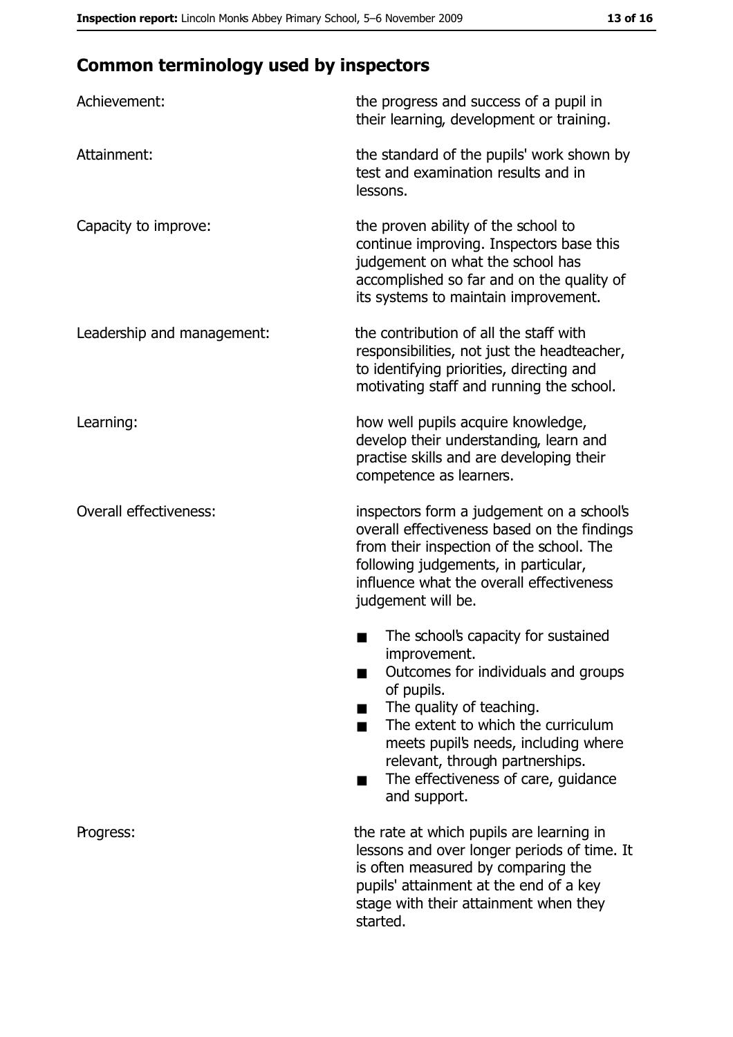# **Common terminology used by inspectors**

| Achievement:                  | the progress and success of a pupil in<br>their learning, development or training.                                                                                                                                                                                                                           |
|-------------------------------|--------------------------------------------------------------------------------------------------------------------------------------------------------------------------------------------------------------------------------------------------------------------------------------------------------------|
| Attainment:                   | the standard of the pupils' work shown by<br>test and examination results and in<br>lessons.                                                                                                                                                                                                                 |
| Capacity to improve:          | the proven ability of the school to<br>continue improving. Inspectors base this<br>judgement on what the school has<br>accomplished so far and on the quality of<br>its systems to maintain improvement.                                                                                                     |
| Leadership and management:    | the contribution of all the staff with<br>responsibilities, not just the headteacher,<br>to identifying priorities, directing and<br>motivating staff and running the school.                                                                                                                                |
| Learning:                     | how well pupils acquire knowledge,<br>develop their understanding, learn and<br>practise skills and are developing their<br>competence as learners.                                                                                                                                                          |
| <b>Overall effectiveness:</b> | inspectors form a judgement on a school's<br>overall effectiveness based on the findings<br>from their inspection of the school. The<br>following judgements, in particular,<br>influence what the overall effectiveness<br>judgement will be.                                                               |
|                               | The school's capacity for sustained<br>improvement.<br>Outcomes for individuals and groups<br>of pupils.<br>The quality of teaching.<br>The extent to which the curriculum<br>meets pupil's needs, including where<br>relevant, through partnerships.<br>The effectiveness of care, guidance<br>and support. |
| Progress:                     | the rate at which pupils are learning in<br>lessons and over longer periods of time. It<br>is often measured by comparing the<br>pupils' attainment at the end of a key<br>stage with their attainment when they<br>started.                                                                                 |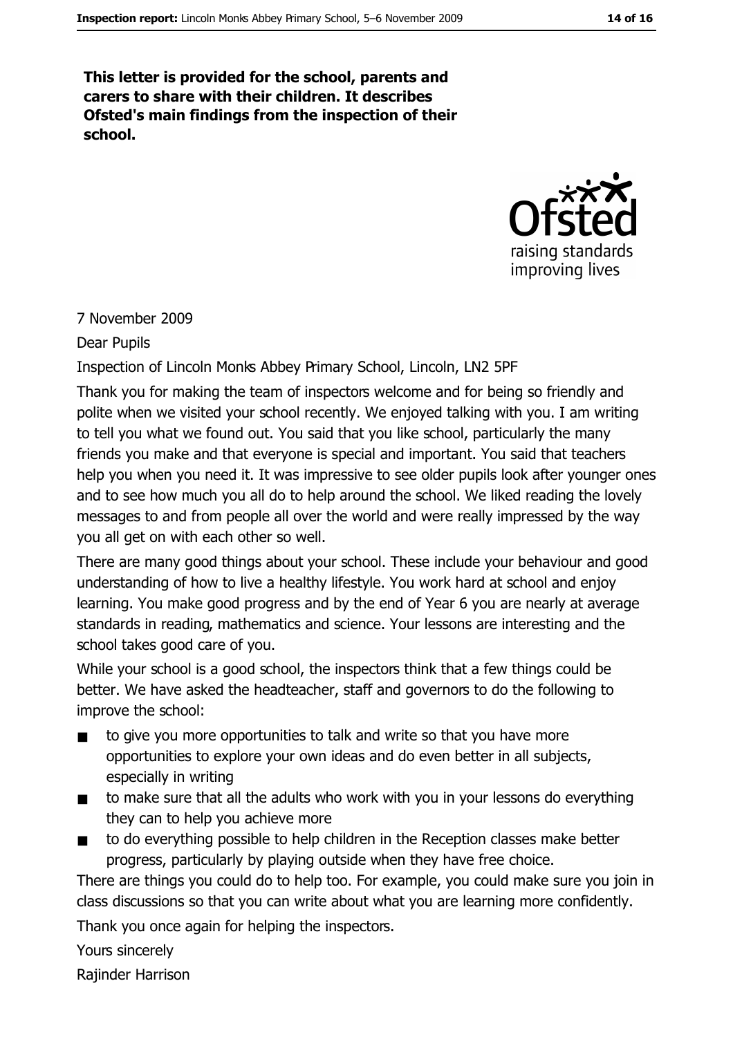This letter is provided for the school, parents and carers to share with their children. It describes Ofsted's main findings from the inspection of their school.



#### 7 November 2009

#### **Dear Pupils**

Inspection of Lincoln Monks Abbey Primary School, Lincoln, LN2 5PF

Thank you for making the team of inspectors welcome and for being so friendly and polite when we visited your school recently. We enjoyed talking with you. I am writing to tell you what we found out. You said that you like school, particularly the many friends you make and that everyone is special and important. You said that teachers help you when you need it. It was impressive to see older pupils look after younger ones and to see how much you all do to help around the school. We liked reading the lovely messages to and from people all over the world and were really impressed by the way you all get on with each other so well.

There are many good things about your school. These include your behaviour and good understanding of how to live a healthy lifestyle. You work hard at school and enjoy learning. You make good progress and by the end of Year 6 you are nearly at average standards in reading, mathematics and science. Your lessons are interesting and the school takes good care of you.

While your school is a good school, the inspectors think that a few things could be better. We have asked the headteacher, staff and governors to do the following to improve the school:

- to give you more opportunities to talk and write so that you have more  $\blacksquare$ opportunities to explore your own ideas and do even better in all subjects, especially in writing
- to make sure that all the adults who work with you in your lessons do everything  $\blacksquare$ they can to help you achieve more
- to do everything possible to help children in the Reception classes make better  $\blacksquare$ progress, particularly by playing outside when they have free choice.

There are things you could do to help too. For example, you could make sure you join in class discussions so that you can write about what you are learning more confidently.

Thank you once again for helping the inspectors.

Yours sincerely

Rajinder Harrison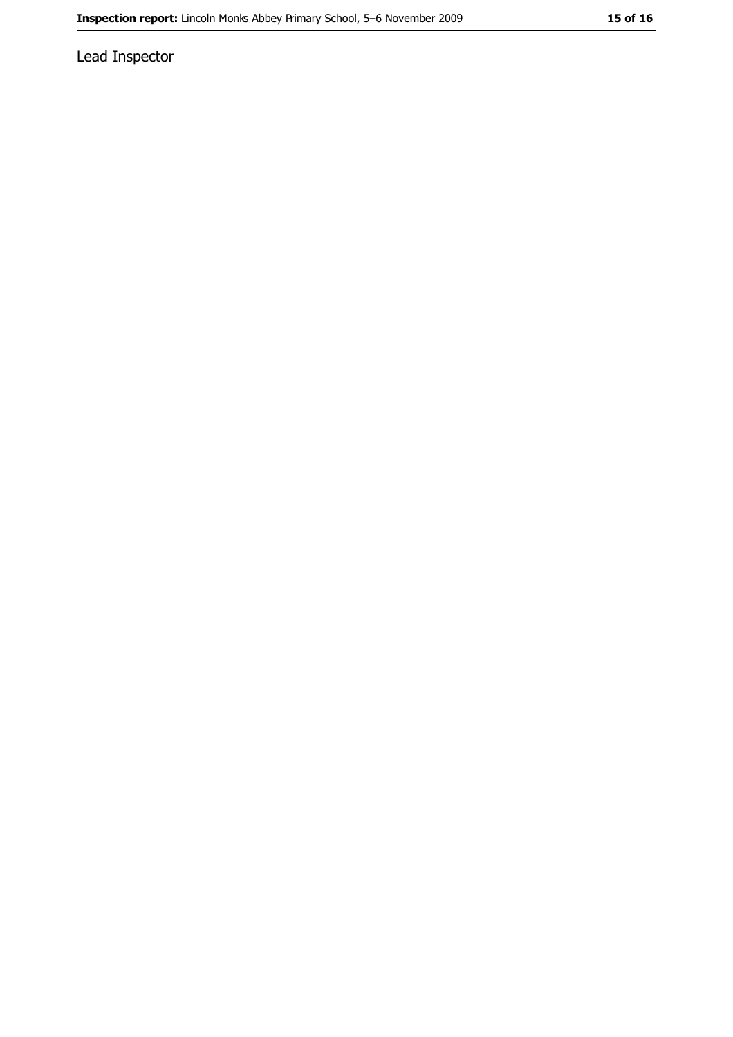Lead Inspector